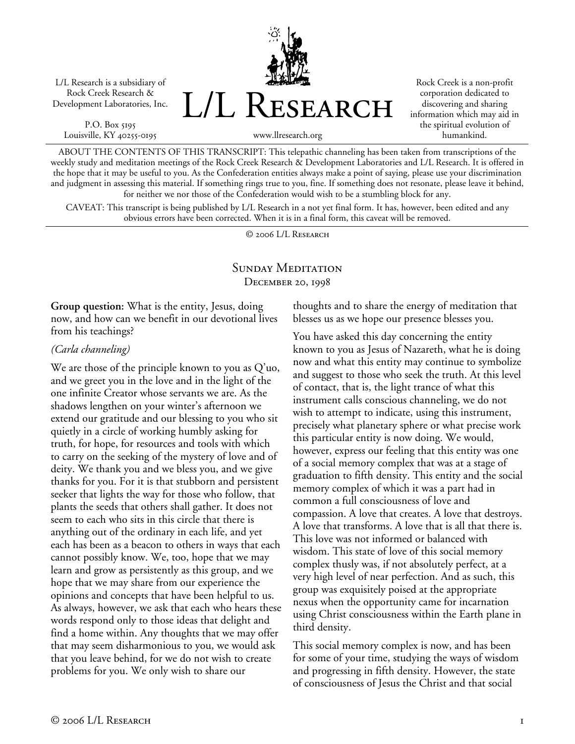L/L Research is a subsidiary of Rock Creek Research & Development Laboratories, Inc.

P.O. Box 5195 Louisville, KY 40255-0195



Rock Creek is a non-profit corporation dedicated to discovering and sharing information which may aid in the spiritual evolution of humankind.

www.llresearch.org

ABOUT THE CONTENTS OF THIS TRANSCRIPT: This telepathic channeling has been taken from transcriptions of the weekly study and meditation meetings of the Rock Creek Research & Development Laboratories and L/L Research. It is offered in the hope that it may be useful to you. As the Confederation entities always make a point of saying, please use your discrimination and judgment in assessing this material. If something rings true to you, fine. If something does not resonate, please leave it behind, for neither we nor those of the Confederation would wish to be a stumbling block for any.

CAVEAT: This transcript is being published by L/L Research in a not yet final form. It has, however, been edited and any obvious errors have been corrected. When it is in a final form, this caveat will be removed.

© 2006 L/L Research

## SUNDAY MEDITATION December 20, 1998

**Group question:** What is the entity, Jesus, doing now, and how can we benefit in our devotional lives from his teachings?

## *(Carla channeling)*

We are those of the principle known to you as Q'uo, and we greet you in the love and in the light of the one infinite Creator whose servants we are. As the shadows lengthen on your winter's afternoon we extend our gratitude and our blessing to you who sit quietly in a circle of working humbly asking for truth, for hope, for resources and tools with which to carry on the seeking of the mystery of love and of deity. We thank you and we bless you, and we give thanks for you. For it is that stubborn and persistent seeker that lights the way for those who follow, that plants the seeds that others shall gather. It does not seem to each who sits in this circle that there is anything out of the ordinary in each life, and yet each has been as a beacon to others in ways that each cannot possibly know. We, too, hope that we may learn and grow as persistently as this group, and we hope that we may share from our experience the opinions and concepts that have been helpful to us. As always, however, we ask that each who hears these words respond only to those ideas that delight and find a home within. Any thoughts that we may offer that may seem disharmonious to you, we would ask that you leave behind, for we do not wish to create problems for you. We only wish to share our

thoughts and to share the energy of meditation that blesses us as we hope our presence blesses you.

You have asked this day concerning the entity known to you as Jesus of Nazareth, what he is doing now and what this entity may continue to symbolize and suggest to those who seek the truth. At this level of contact, that is, the light trance of what this instrument calls conscious channeling, we do not wish to attempt to indicate, using this instrument, precisely what planetary sphere or what precise work this particular entity is now doing. We would, however, express our feeling that this entity was one of a social memory complex that was at a stage of graduation to fifth density. This entity and the social memory complex of which it was a part had in common a full consciousness of love and compassion. A love that creates. A love that destroys. A love that transforms. A love that is all that there is. This love was not informed or balanced with wisdom. This state of love of this social memory complex thusly was, if not absolutely perfect, at a very high level of near perfection. And as such, this group was exquisitely poised at the appropriate nexus when the opportunity came for incarnation using Christ consciousness within the Earth plane in third density.

This social memory complex is now, and has been for some of your time, studying the ways of wisdom and progressing in fifth density. However, the state of consciousness of Jesus the Christ and that social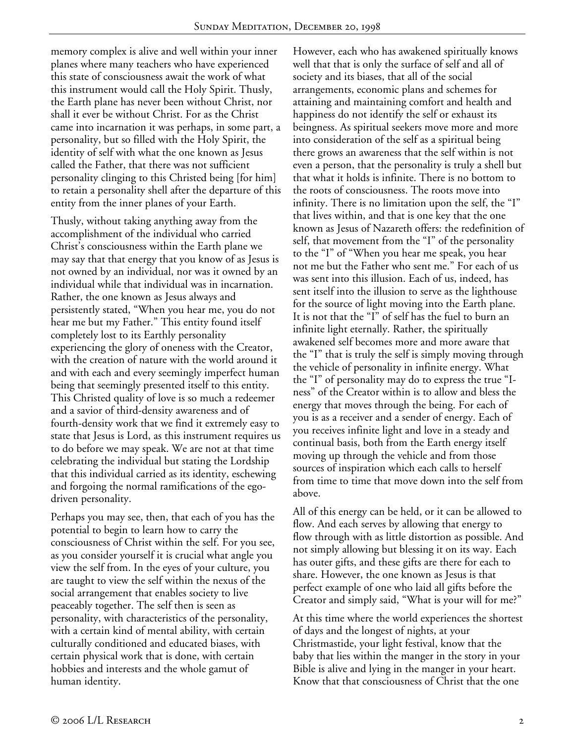memory complex is alive and well within your inner planes where many teachers who have experienced this state of consciousness await the work of what this instrument would call the Holy Spirit. Thusly, the Earth plane has never been without Christ, nor shall it ever be without Christ. For as the Christ came into incarnation it was perhaps, in some part, a personality, but so filled with the Holy Spirit, the identity of self with what the one known as Jesus called the Father, that there was not sufficient personality clinging to this Christed being [for him] to retain a personality shell after the departure of this entity from the inner planes of your Earth.

Thusly, without taking anything away from the accomplishment of the individual who carried Christ's consciousness within the Earth plane we may say that that energy that you know of as Jesus is not owned by an individual, nor was it owned by an individual while that individual was in incarnation. Rather, the one known as Jesus always and persistently stated, "When you hear me, you do not hear me but my Father." This entity found itself completely lost to its Earthly personality experiencing the glory of oneness with the Creator, with the creation of nature with the world around it and with each and every seemingly imperfect human being that seemingly presented itself to this entity. This Christed quality of love is so much a redeemer and a savior of third-density awareness and of fourth-density work that we find it extremely easy to state that Jesus is Lord, as this instrument requires us to do before we may speak. We are not at that time celebrating the individual but stating the Lordship that this individual carried as its identity, eschewing and forgoing the normal ramifications of the egodriven personality.

Perhaps you may see, then, that each of you has the potential to begin to learn how to carry the consciousness of Christ within the self. For you see, as you consider yourself it is crucial what angle you view the self from. In the eyes of your culture, you are taught to view the self within the nexus of the social arrangement that enables society to live peaceably together. The self then is seen as personality, with characteristics of the personality, with a certain kind of mental ability, with certain culturally conditioned and educated biases, with certain physical work that is done, with certain hobbies and interests and the whole gamut of human identity.

However, each who has awakened spiritually knows well that that is only the surface of self and all of society and its biases, that all of the social arrangements, economic plans and schemes for attaining and maintaining comfort and health and happiness do not identify the self or exhaust its beingness. As spiritual seekers move more and more into consideration of the self as a spiritual being there grows an awareness that the self within is not even a person, that the personality is truly a shell but that what it holds is infinite. There is no bottom to the roots of consciousness. The roots move into infinity. There is no limitation upon the self, the "I" that lives within, and that is one key that the one known as Jesus of Nazareth offers: the redefinition of self, that movement from the "I" of the personality to the "I" of "When you hear me speak, you hear not me but the Father who sent me." For each of us was sent into this illusion. Each of us, indeed, has sent itself into the illusion to serve as the lighthouse for the source of light moving into the Earth plane. It is not that the "I" of self has the fuel to burn an infinite light eternally. Rather, the spiritually awakened self becomes more and more aware that the "I" that is truly the self is simply moving through the vehicle of personality in infinite energy. What the "I" of personality may do to express the true "Iness" of the Creator within is to allow and bless the energy that moves through the being. For each of you is as a receiver and a sender of energy. Each of you receives infinite light and love in a steady and continual basis, both from the Earth energy itself moving up through the vehicle and from those sources of inspiration which each calls to herself from time to time that move down into the self from above.

All of this energy can be held, or it can be allowed to flow. And each serves by allowing that energy to flow through with as little distortion as possible. And not simply allowing but blessing it on its way. Each has outer gifts, and these gifts are there for each to share. However, the one known as Jesus is that perfect example of one who laid all gifts before the Creator and simply said, "What is your will for me?"

At this time where the world experiences the shortest of days and the longest of nights, at your Christmastide, your light festival, know that the baby that lies within the manger in the story in your Bible is alive and lying in the manger in your heart. Know that that consciousness of Christ that the one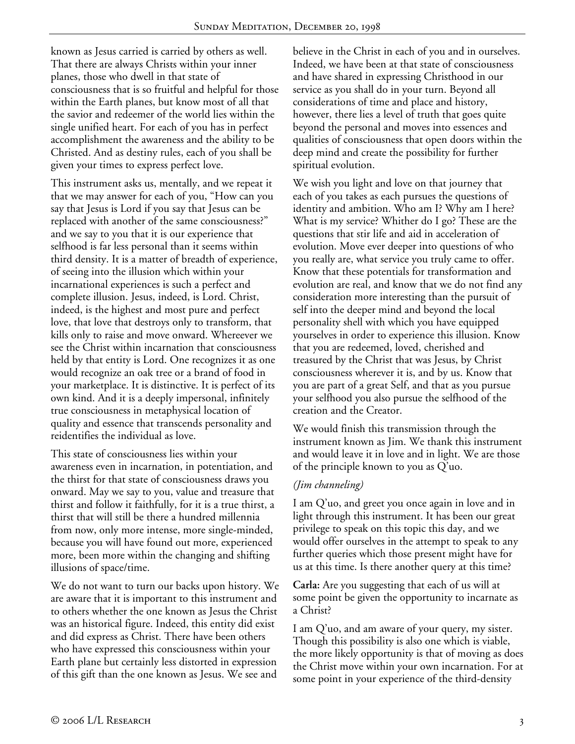known as Jesus carried is carried by others as well. That there are always Christs within your inner planes, those who dwell in that state of consciousness that is so fruitful and helpful for those within the Earth planes, but know most of all that the savior and redeemer of the world lies within the single unified heart. For each of you has in perfect accomplishment the awareness and the ability to be Christed. And as destiny rules, each of you shall be given your times to express perfect love.

This instrument asks us, mentally, and we repeat it that we may answer for each of you, "How can you say that Jesus is Lord if you say that Jesus can be replaced with another of the same consciousness?" and we say to you that it is our experience that selfhood is far less personal than it seems within third density. It is a matter of breadth of experience, of seeing into the illusion which within your incarnational experiences is such a perfect and complete illusion. Jesus, indeed, is Lord. Christ, indeed, is the highest and most pure and perfect love, that love that destroys only to transform, that kills only to raise and move onward. Whereever we see the Christ within incarnation that consciousness held by that entity is Lord. One recognizes it as one would recognize an oak tree or a brand of food in your marketplace. It is distinctive. It is perfect of its own kind. And it is a deeply impersonal, infinitely true consciousness in metaphysical location of quality and essence that transcends personality and reidentifies the individual as love.

This state of consciousness lies within your awareness even in incarnation, in potentiation, and the thirst for that state of consciousness draws you onward. May we say to you, value and treasure that thirst and follow it faithfully, for it is a true thirst, a thirst that will still be there a hundred millennia from now, only more intense, more single-minded, because you will have found out more, experienced more, been more within the changing and shifting illusions of space/time.

We do not want to turn our backs upon history. We are aware that it is important to this instrument and to others whether the one known as Jesus the Christ was an historical figure. Indeed, this entity did exist and did express as Christ. There have been others who have expressed this consciousness within your Earth plane but certainly less distorted in expression of this gift than the one known as Jesus. We see and

believe in the Christ in each of you and in ourselves. Indeed, we have been at that state of consciousness and have shared in expressing Christhood in our service as you shall do in your turn. Beyond all considerations of time and place and history, however, there lies a level of truth that goes quite beyond the personal and moves into essences and qualities of consciousness that open doors within the deep mind and create the possibility for further spiritual evolution.

We wish you light and love on that journey that each of you takes as each pursues the questions of identity and ambition. Who am I? Why am I here? What is my service? Whither do I go? These are the questions that stir life and aid in acceleration of evolution. Move ever deeper into questions of who you really are, what service you truly came to offer. Know that these potentials for transformation and evolution are real, and know that we do not find any consideration more interesting than the pursuit of self into the deeper mind and beyond the local personality shell with which you have equipped yourselves in order to experience this illusion. Know that you are redeemed, loved, cherished and treasured by the Christ that was Jesus, by Christ consciousness wherever it is, and by us. Know that you are part of a great Self, and that as you pursue your selfhood you also pursue the selfhood of the creation and the Creator.

We would finish this transmission through the instrument known as Jim. We thank this instrument and would leave it in love and in light. We are those of the principle known to you as Q'uo.

## *(Jim channeling)*

I am Q'uo, and greet you once again in love and in light through this instrument. It has been our great privilege to speak on this topic this day, and we would offer ourselves in the attempt to speak to any further queries which those present might have for us at this time. Is there another query at this time?

**Carla:** Are you suggesting that each of us will at some point be given the opportunity to incarnate as a Christ?

I am Q'uo, and am aware of your query, my sister. Though this possibility is also one which is viable, the more likely opportunity is that of moving as does the Christ move within your own incarnation. For at some point in your experience of the third-density